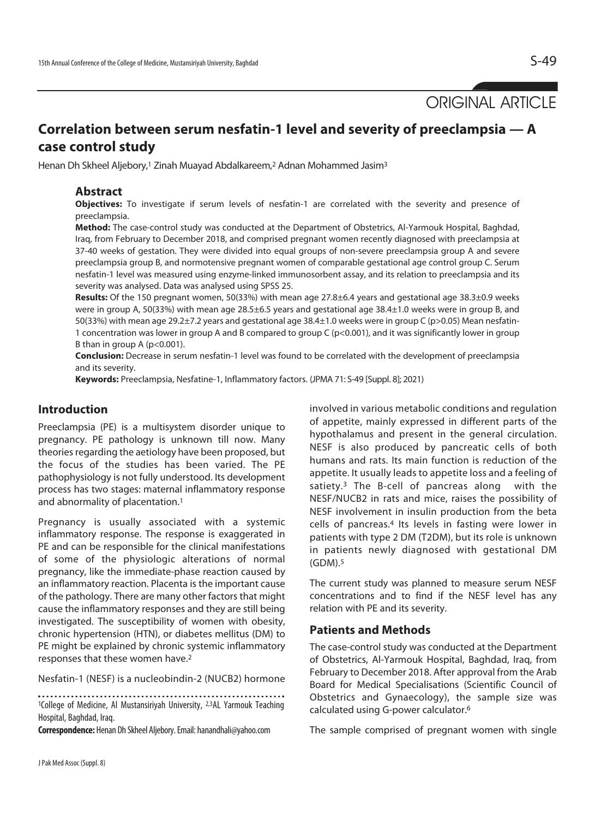ORIGINAL ARTICLE

# **Correlation between serum nesfatin-1 level and severity of preeclampsia — A case control study**

Henan Dh Skheel Aljebory,<sup>1</sup> Zinah Muayad Abdalkareem,<sup>2</sup> Adnan Mohammed Jasim<sup>3</sup>

## **Abstract**

**Objectives:** To investigate if serum levels of nesfatin-1 are correlated with the severity and presence of preeclampsia.

**Method:** The case-control study was conducted at the Department of Obstetrics, Al-Yarmouk Hospital, Baghdad, Iraq, from February to December 2018, and comprised pregnant women recently diagnosed with preeclampsia at 37-40 weeks of gestation. They were divided into equal groups of non-severe preeclampsia group A and severe preeclampsia group B, and normotensive pregnant women of comparable gestational age control group C. Serum nesfatin-1 level was measured using enzyme-linked immunosorbent assay, and its relation to preeclampsia and its severity was analysed. Data was analysed using SPSS 25.

**Results:** Of the 150 pregnant women, 50(33%) with mean age 27.8±6.4 years and gestational age 38.3±0.9 weeks were in group A, 50(33%) with mean age 28.5±6.5 years and gestational age 38.4±1.0 weeks were in group B, and 50(33%) with mean age 29.2±7.2 years and gestational age 38.4±1.0 weeks were in group C (p>0.05) Mean nesfatin-1 concentration was lower in group A and B compared to group C (p<0.001), and it was significantly lower in group B than in group A ( $p < 0.001$ ).

**Conclusion:** Decrease in serum nesfatin-1 level was found to be correlated with the development of preeclampsia and its severity.

**Keywords:** Preeclampsia, Nesfatine-1, Inflammatory factors. (JPMA 71: S-49 [Suppl. 8]; 2021)

# **Introduction**

Preeclampsia (PE) is a multisystem disorder unique to pregnancy. PE pathology is unknown till now. Many theories regarding the aetiology have been proposed, but the focus of the studies has been varied. The PE pathophysiology is not fully understood. Its development process has two stages: maternal inflammatory response and abnormality of placentation.1

Pregnancy is usually associated with a systemic inflammatory response. The response is exaggerated in PE and can be responsible for the clinical manifestations of some of the physiologic alterations of normal pregnancy, like the immediate-phase reaction caused by an inflammatory reaction. Placenta is the important cause of the pathology. There are many other factors that might cause the inflammatory responses and they are still being investigated. The susceptibility of women with obesity, chronic hypertension (HTN), or diabetes mellitus (DM) to PE might be explained by chronic systemic inflammatory responses that these women have.2

Nesfatin-1 (NESF) is a nucleobindin-2 (NUCB2) hormone

<sup>1</sup>College of Medicine, Al Mustansiriyah University, <sup>2,3</sup>AL Yarmouk Teaching Hospital, Baghdad, Iraq.

**Correspondence:** Henan Dh Skheel Aljebory. Email: hanandhali@yahoo.com

involved in various metabolic conditions and regulation of appetite, mainly expressed in different parts of the hypothalamus and present in the general circulation. NESF is also produced by pancreatic cells of both humans and rats. Its main function is reduction of the appetite. It usually leads to appetite loss and a feeling of satiety.3 The B-cell of pancreas along with the NESF/NUCB2 in rats and mice, raises the possibility of NESF involvement in insulin production from the beta cells of pancreas.4 Its levels in fasting were lower in patients with type 2 DM (T2DM), but its role is unknown in patients newly diagnosed with gestational DM (GDM).5

The current study was planned to measure serum NESF concentrations and to find if the NESF level has any relation with PE and its severity.

## **Patients and Methods**

The case-control study was conducted at the Department of Obstetrics, Al-Yarmouk Hospital, Baghdad, Iraq, from February to December 2018. After approval from the Arab Board for Medical Specialisations (Scientific Council of Obstetrics and Gynaecology), the sample size was calculated using G-power calculator.6

The sample comprised of pregnant women with single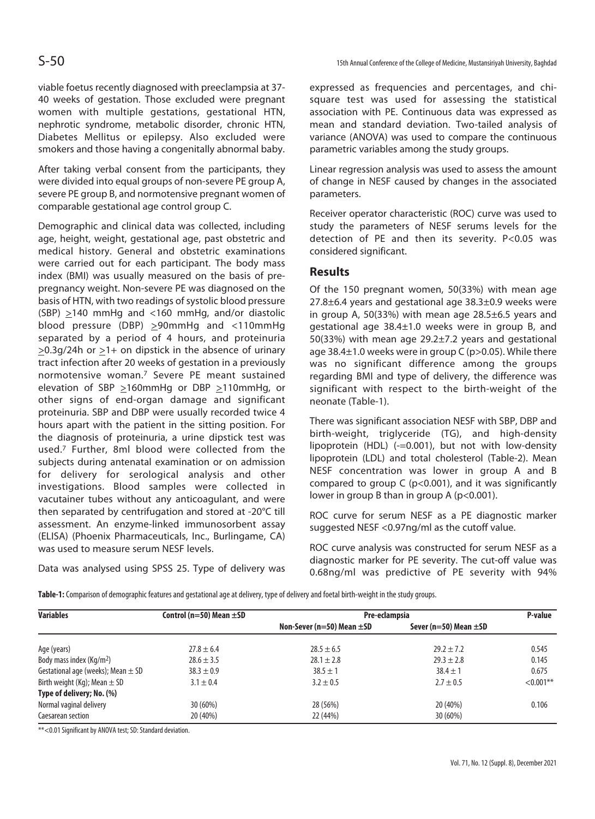viable foetus recently diagnosed with preeclampsia at 37- 40 weeks of gestation. Those excluded were pregnant women with multiple gestations, gestational HTN, nephrotic syndrome, metabolic disorder, chronic HTN, Diabetes Mellitus or epilepsy. Also excluded were smokers and those having a congenitally abnormal baby.

After taking verbal consent from the participants, they were divided into equal groups of non-severe PE group A, severe PE group B, and normotensive pregnant women of comparable gestational age control group C.

Demographic and clinical data was collected, including age, height, weight, gestational age, past obstetric and medical history. General and obstetric examinations were carried out for each participant. The body mass index (BMI) was usually measured on the basis of prepregnancy weight. Non-severe PE was diagnosed on the basis of HTN, with two readings of systolic blood pressure (SBP)  $\geq$ 140 mmHg and <160 mmHg, and/or diastolic blood pressure (DBP) >90mmHg and <110mmHg separated by a period of 4 hours, and proteinuria  $>0.3q/24h$  or  $>1+$  on dipstick in the absence of urinary tract infection after 20 weeks of gestation in a previously normotensive woman.7 Severe PE meant sustained elevation of SBP  $\geq$ 160mmHg or DBP  $\geq$ 110mmHg, or other signs of end-organ damage and significant proteinuria. SBP and DBP were usually recorded twice 4 hours apart with the patient in the sitting position. For the diagnosis of proteinuria, a urine dipstick test was used.7 Further, 8ml blood were collected from the subjects during antenatal examination or on admission for delivery for serological analysis and other investigations. Blood samples were collected in vacutainer tubes without any anticoagulant, and were then separated by centrifugation and stored at -20°C till assessment. An enzyme-linked immunosorbent assay (ELISA) (Phoenix Pharmaceuticals, Inc., Burlingame, CA) was used to measure serum NESF levels.

Data was analysed using SPSS 25. Type of delivery was

expressed as frequencies and percentages, and chisquare test was used for assessing the statistical association with PE. Continuous data was expressed as mean and standard deviation. Two-tailed analysis of variance (ANOVA) was used to compare the continuous parametric variables among the study groups.

Linear regression analysis was used to assess the amount of change in NESF caused by changes in the associated parameters.

Receiver operator characteristic (ROC) curve was used to study the parameters of NESF serums levels for the detection of PE and then its severity. P<0.05 was considered significant.

## **Results**

Of the 150 pregnant women, 50(33%) with mean age 27.8±6.4 years and gestational age 38.3±0.9 weeks were in group A, 50(33%) with mean age 28.5±6.5 years and gestational age 38.4±1.0 weeks were in group B, and 50(33%) with mean age 29.2±7.2 years and gestational age 38.4±1.0 weeks were in group C (p>0.05). While there was no significant difference among the groups regarding BMI and type of delivery, the difference was significant with respect to the birth-weight of the neonate (Table-1).

There was significant association NESF with SBP, DBP and birth-weight, triglyceride (TG), and high-density lipoprotein (HDL) (-=0.001), but not with low-density lipoprotein (LDL) and total cholesterol (Table-2). Mean NESF concentration was lower in group A and B compared to group  $C$  ( $p<0.001$ ), and it was significantly lower in group B than in group A (p<0.001).

ROC curve for serum NESF as a PE diagnostic marker suggested NESF <0.97ng/ml as the cutoff value.

ROC curve analysis was constructed for serum NESF as a diagnostic marker for PE severity. The cut-off value was 0.68ng/ml was predictive of PE severity with 94%

**Table-1:** Comparison of demographic features and gestational age at delivery, type of delivery and foetal birth-weight in the study groups.

| <b>Variables</b>                       | Control ( $n=50$ ) Mean $\pm$ SD | Pre-eclampsia                  | P-value                    |              |
|----------------------------------------|----------------------------------|--------------------------------|----------------------------|--------------|
|                                        |                                  | Non-Sever (n=50) Mean $\pm$ SD | Sever (n=50) Mean $\pm$ SD |              |
| Age (years)                            | $27.8 \pm 6.4$                   | $28.5 \pm 6.5$                 | $29.2 \pm 7.2$             | 0.545        |
| Body mass index (Kg/m <sup>2</sup> )   | $28.6 \pm 3.5$                   | $28.1 \pm 2.8$                 | $29.3 \pm 2.8$             | 0.145        |
| Gestational age (weeks); Mean $\pm$ SD | $38.3 \pm 0.9$                   | $38.5 \pm 1$                   | $38.4 \pm 1$               | 0.675        |
| Birth weight (Kg); Mean $\pm$ SD       | $3.1 \pm 0.4$                    | $3.2 \pm 0.5$                  | $2.7 \pm 0.5$              | $< 0.001$ ** |
| Type of delivery; No. (%)              |                                  |                                |                            |              |
| Normal vaginal delivery                | $30(60\%)$                       | 28 (56%)                       | 20 (40%)                   | 0.106        |
| Caesarean section                      | 20 (40%)                         | 22 (44%)                       | 30 (60%)                   |              |

\*\*<0.01 Significant by ANOVA test; SD: Standard deviation.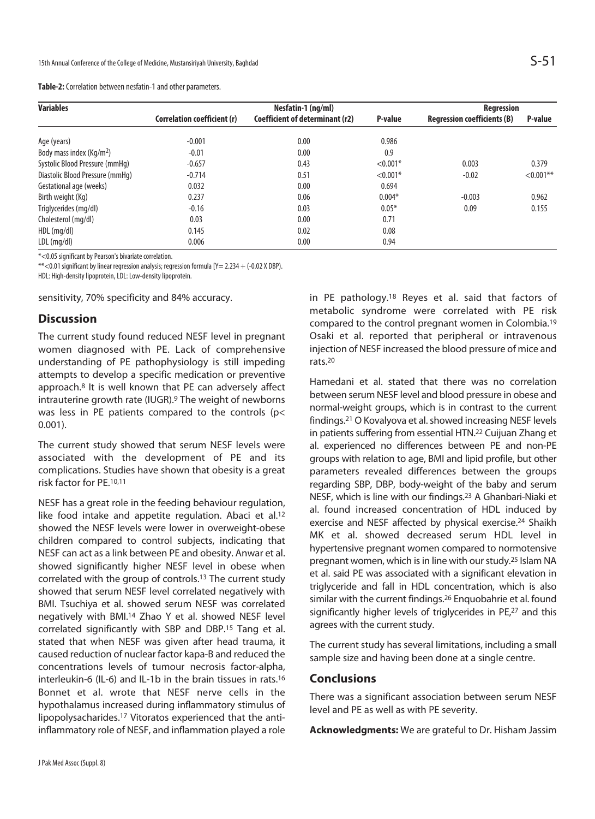| Table-2: Correlation between nesfatin-1 and other parameters. |  |
|---------------------------------------------------------------|--|
|---------------------------------------------------------------|--|

| <b>Variables</b>                     | Nesfatin-1 (ng/ml)          |                                 |            | Regression                         |              |
|--------------------------------------|-----------------------------|---------------------------------|------------|------------------------------------|--------------|
|                                      | Correlation coefficient (r) | Coefficient of determinant (r2) | P-value    | <b>Regression coefficients (B)</b> | P-value      |
| Age (years)                          | $-0.001$                    | 0.00                            | 0.986      |                                    |              |
| Body mass index (Kg/m <sup>2</sup> ) | $-0.01$                     | 0.00                            | 0.9        |                                    |              |
| Systolic Blood Pressure (mmHq)       | $-0.657$                    | 0.43                            | $< 0.001*$ | 0.003                              | 0.379        |
| Diastolic Blood Pressure (mmHq)      | $-0.714$                    | 0.51                            | $< 0.001*$ | $-0.02$                            | $< 0.001$ ** |
| Gestational age (weeks)              | 0.032                       | 0.00                            | 0.694      |                                    |              |
| Birth weight (Kg)                    | 0.237                       | 0.06                            | $0.004*$   | $-0.003$                           | 0.962        |
| Triglycerides (mg/dl)                | $-0.16$                     | 0.03                            | $0.05*$    | 0.09                               | 0.155        |
| Cholesterol (mg/dl)                  | 0.03                        | 0.00                            | 0.71       |                                    |              |
| $HDL$ (mg/dl)                        | 0.145                       | 0.02                            | 0.08       |                                    |              |
| $LDL$ (mg/dl)                        | 0.006                       | 0.00                            | 0.94       |                                    |              |

\*<0.05 significant by Pearson's bivariate correlation.

\*\*<0.01 significant by linear regression analysis; regression formula [Y= 2.234 + (-0.02 X DBP).

HDL: High-density lipoprotein, LDL: Low-density lipoprotein.

sensitivity, 70% specificity and 84% accuracy.

## **Discussion**

The current study found reduced NESF level in pregnant women diagnosed with PE. Lack of comprehensive understanding of PE pathophysiology is still impeding attempts to develop a specific medication or preventive approach.8 It is well known that PE can adversely affect intrauterine growth rate (IUGR).9 The weight of newborns was less in PE patients compared to the controls (p< 0.001).

The current study showed that serum NESF levels were associated with the development of PE and its complications. Studies have shown that obesity is a great risk factor for PE.10,11

NESF has a great role in the feeding behaviour regulation, like food intake and appetite regulation. Abaci et al.<sup>12</sup> showed the NESF levels were lower in overweight-obese children compared to control subjects, indicating that NESF can act as a link between PE and obesity. Anwar et al. showed significantly higher NESF level in obese when correlated with the group of controls.13 The current study showed that serum NESF level correlated negatively with BMI. Tsuchiya et al. showed serum NESF was correlated negatively with BMI.14 Zhao Y et al. showed NESF level correlated significantly with SBP and DBP.15 Tang et al. stated that when NESF was given after head trauma, it caused reduction of nuclear factor kapa-B and reduced the concentrations levels of tumour necrosis factor-alpha, interleukin-6 (IL-6) and IL-1b in the brain tissues in rats.16 Bonnet et al. wrote that NESF nerve cells in the hypothalamus increased during inflammatory stimulus of lipopolysacharides.17 Vitoratos experienced that the antiinflammatory role of NESF, and inflammation played a role

in PE pathology.18 Reyes et al. said that factors of metabolic syndrome were correlated with PE risk compared to the control pregnant women in Colombia.19 Osaki et al. reported that peripheral or intravenous injection of NESF increased the blood pressure of mice and rats.20

Hamedani et al. stated that there was no correlation between serum NESF level and blood pressure in obese and normal-weight groups, which is in contrast to the current findings.21 O Kovalyova et al. showed increasing NESF levels in patients suffering from essential HTN.22 Cuijuan Zhang et al. experienced no differences between PE and non-PE groups with relation to age, BMI and lipid profile, but other parameters revealed differences between the groups regarding SBP, DBP, body-weight of the baby and serum NESF, which is line with our findings.23 A Ghanbari-Niaki et al. found increased concentration of HDL induced by exercise and NESF affected by physical exercise.24 Shaikh MK et al. showed decreased serum HDL level in hypertensive pregnant women compared to normotensive pregnant women, which is in line with our study.25 Islam NA et al. said PE was associated with a significant elevation in triglyceride and fall in HDL concentration, which is also similar with the current findings.26 Enquobahrie et al. found significantly higher levels of triglycerides in PE,<sup>27</sup> and this agrees with the current study.

The current study has several limitations, including a small sample size and having been done at a single centre.

### **Conclusions**

There was a significant association between serum NESF level and PE as well as with PE severity.

**Acknowledgments:** We are grateful to Dr. Hisham Jassim